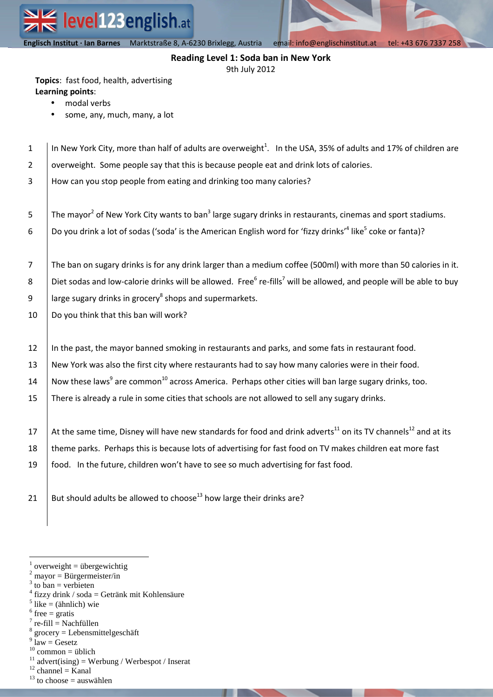**Englisch Institut · Ian Barnes** Marktstraße 8, A-6230 Brixlegg email| info@englischinstitut.at tel |+43 676 7337 258  **Englisch Institut · Ian Barnes** Marktstraße 8, A-6230 Brixlegg, Austria email: info@englischinstitut.at tel: +43 676 7337 258

# **Reading Level 1: Soda ban in New York**

9th July 2012

**Topics**: fast food, health, advertising **Learning points**:

- modal verbs
- some, any, much, many, a lot

| $\mathbf{1}$            | In New York City, more than half of adults are overweight <sup>1</sup> . In the USA, 35% of adults and 17% of children are                 |  |  |  |  |
|-------------------------|--------------------------------------------------------------------------------------------------------------------------------------------|--|--|--|--|
| $\overline{\mathbf{c}}$ | overweight. Some people say that this is because people eat and drink lots of calories.                                                    |  |  |  |  |
| 3                       | How can you stop people from eating and drinking too many calories?                                                                        |  |  |  |  |
|                         |                                                                                                                                            |  |  |  |  |
| 5                       | The mayor <sup>2</sup> of New York City wants to ban <sup>3</sup> large sugary drinks in restaurants, cinemas and sport stadiums.          |  |  |  |  |
| 6                       | Do you drink a lot of sodas ('soda' is the American English word for 'fizzy drinks' <sup>4</sup> like <sup>5</sup> coke or fanta)?         |  |  |  |  |
|                         |                                                                                                                                            |  |  |  |  |
| $\overline{7}$          | The ban on sugary drinks is for any drink larger than a medium coffee (500ml) with more than 50 calories in it.                            |  |  |  |  |
| 8                       | Diet sodas and low-calorie drinks will be allowed. Free <sup>6</sup> re-fills <sup>7</sup> will be allowed, and people will be able to buy |  |  |  |  |
| 9                       | large sugary drinks in grocery <sup>8</sup> shops and supermarkets.                                                                        |  |  |  |  |
| 10                      | Do you think that this ban will work?                                                                                                      |  |  |  |  |
|                         |                                                                                                                                            |  |  |  |  |
| 12                      | In the past, the mayor banned smoking in restaurants and parks, and some fats in restaurant food.                                          |  |  |  |  |
| 13                      | New York was also the first city where restaurants had to say how many calories were in their food.                                        |  |  |  |  |
| 14                      | Now these laws <sup>9</sup> are common <sup>10</sup> across America. Perhaps other cities will ban large sugary drinks, too.               |  |  |  |  |
| 15                      | There is already a rule in some cities that schools are not allowed to sell any sugary drinks.                                             |  |  |  |  |
|                         |                                                                                                                                            |  |  |  |  |
| 17                      | At the same time, Disney will have new standards for food and drink adverts <sup>11</sup> on its TV channels <sup>12</sup> and at its      |  |  |  |  |
| 18                      | theme parks. Perhaps this is because lots of advertising for fast food on TV makes children eat more fast                                  |  |  |  |  |
| 19                      | food. In the future, children won't have to see so much advertising for fast food.                                                         |  |  |  |  |
|                         |                                                                                                                                            |  |  |  |  |
| 21                      | But should adults be allowed to choose <sup>13</sup> how large their drinks are?                                                           |  |  |  |  |
|                         |                                                                                                                                            |  |  |  |  |
|                         |                                                                                                                                            |  |  |  |  |

- $3$  to ban = verbieten
- 4 fizzy drink / soda = Getränk mit Kohlensäure
- $<sup>5</sup>$  like = (ähnlich) wie</sup>

 $\overline{a}$ 

- $6$  free = gratis
- $<sup>7</sup>$  re-fill = Nachfüllen</sup>  $8$  grocery = Lebensmittelgeschäft
- $9 \text{ law} = \text{Gesetz}$
- $10$  common = üblich
- $11$  advert(ising) = Werbung / Werbespot / Inserat
- $12$  channel = Kanal
- $13$  to choose = auswählen

 $1$  overweight = übergewichtig

 $2$  mayor = Bürgermeister/in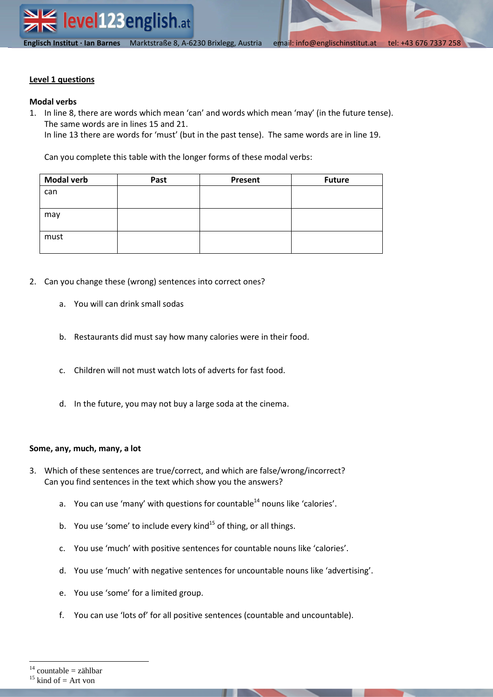## **Level 1 questions**

## **Modal verbs**

1. In line 8, there are words which mean 'can' and words which mean 'may' (in the future tense). The same words are in lines 15 and 21.

In line 13 there are words for 'must' (but in the past tense). The same words are in line 19.

Can you complete this table with the longer forms of these modal verbs:

| <b>Modal verb</b> | Past | Present | <b>Future</b> |
|-------------------|------|---------|---------------|
| can               |      |         |               |
|                   |      |         |               |
| may               |      |         |               |
|                   |      |         |               |
| must              |      |         |               |
|                   |      |         |               |

- 2. Can you change these (wrong) sentences into correct ones?
	- a. You will can drink small sodas
	- b. Restaurants did must say how many calories were in their food.
	- c. Children will not must watch lots of adverts for fast food.
	- d. In the future, you may not buy a large soda at the cinema.

## **Some, any, much, many, a lot**

- 3. Which of these sentences are true/correct, and which are false/wrong/incorrect? Can you find sentences in the text which show you the answers?
	- a. You can use 'many' with questions for countable<sup>14</sup> nouns like 'calories'.
	- b. You use 'some' to include every kind $^{15}$  of thing, or all things.
	- c. You use 'much' with positive sentences for countable nouns like 'calories'.
	- d. You use 'much' with negative sentences for uncountable nouns like 'advertising'.
	- e. You use 'some' for a limited group.
	- f. You can use 'lots of' for all positive sentences (countable and uncountable).

 $\overline{a}$ 

 $14$  countable = zählbar

 $15$  kind of = Art von